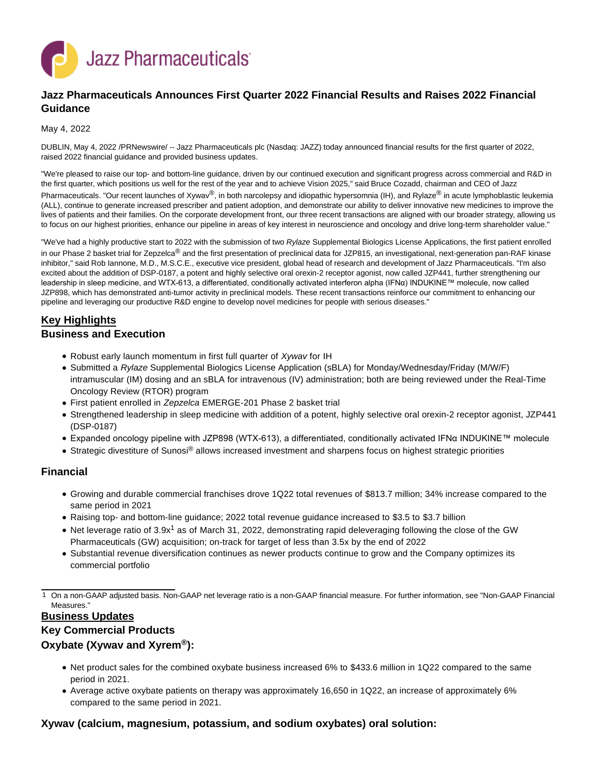

# **Jazz Pharmaceuticals Announces First Quarter 2022 Financial Results and Raises 2022 Financial Guidance**

#### May 4, 2022

DUBLIN, May 4, 2022 /PRNewswire/ -- Jazz Pharmaceuticals plc (Nasdaq: JAZZ) today announced financial results for the first quarter of 2022, raised 2022 financial guidance and provided business updates.

"We're pleased to raise our top- and bottom-line guidance, driven by our continued execution and significant progress across commercial and R&D in the first quarter, which positions us well for the rest of the year and to achieve Vision 2025," said Bruce Cozadd, chairman and CEO of Jazz Pharmaceuticals. "Our recent launches of Xywav®, in both narcolepsy and idiopathic hypersomnia (IH), and Rylaze® in acute lymphoblastic leukemia (ALL), continue to generate increased prescriber and patient adoption, and demonstrate our ability to deliver innovative new medicines to improve the lives of patients and their families. On the corporate development front, our three recent transactions are aligned with our broader strategy, allowing us to focus on our highest priorities, enhance our pipeline in areas of key interest in neuroscience and oncology and drive long-term shareholder value."

"We've had a highly productive start to 2022 with the submission of two Rylaze Supplemental Biologics License Applications, the first patient enrolled in our Phase 2 basket trial for Zepzelca<sup>®</sup> and the first presentation of preclinical data for JZP815, an investigational, next-generation pan-RAF kinase inhibitor," said Rob Iannone, M.D., M.S.C.E., executive vice president, global head of research and development of Jazz Pharmaceuticals. "I'm also excited about the addition of DSP-0187, a potent and highly selective oral orexin-2 receptor agonist, now called JZP441, further strengthening our leadership in sleep medicine, and WTX-613, a differentiated, conditionally activated interferon alpha (IFNα) INDUKINE™ molecule, now called JZP898, which has demonstrated anti-tumor activity in preclinical models. These recent transactions reinforce our commitment to enhancing our pipeline and leveraging our productive R&D engine to develop novel medicines for people with serious diseases."

# **Key Highlights**

### **Business and Execution**

- Robust early launch momentum in first full quarter of Xywav for IH
- Submitted a Rylaze Supplemental Biologics License Application (sBLA) for Monday/Wednesday/Friday (M/W/F) intramuscular (IM) dosing and an sBLA for intravenous (IV) administration; both are being reviewed under the Real-Time Oncology Review (RTOR) program
- First patient enrolled in Zepzelca EMERGE-201 Phase 2 basket trial
- Strengthened leadership in sleep medicine with addition of a potent, highly selective oral orexin-2 receptor agonist, JZP441 (DSP-0187)
- Expanded oncology pipeline with JZP898 (WTX-613), a differentiated, conditionally activated IFNα INDUKINE™ molecule
- Strategic divestiture of Sunosi<sup>®</sup> allows increased investment and sharpens focus on highest strategic priorities

## **Financial**

- Growing and durable commercial franchises drove 1Q22 total revenues of \$813.7 million; 34% increase compared to the same period in 2021
- Raising top- and bottom-line guidance; 2022 total revenue guidance increased to \$3.5 to \$3.7 billion
- Net leverage ratio of 3.9x<sup>1</sup> as of March 31, 2022, demonstrating rapid deleveraging following the close of the GW Pharmaceuticals (GW) acquisition; on-track for target of less than 3.5x by the end of 2022
- Substantial revenue diversification continues as newer products continue to grow and the Company optimizes its commercial portfolio

1 On a non-GAAP adjusted basis. Non-GAAP net leverage ratio is a non-GAAP financial measure. For further information, see "Non-GAAP Financial Measures."

## **Business Updates**

## **Key Commercial Products**

## **Oxybate (Xywav and Xyrem®):**

- Net product sales for the combined oxybate business increased 6% to \$433.6 million in 1Q22 compared to the same period in 2021.
- Average active oxybate patients on therapy was approximately 16,650 in 1Q22, an increase of approximately 6% compared to the same period in 2021.

## **Xywav (calcium, magnesium, potassium, and sodium oxybates) oral solution:**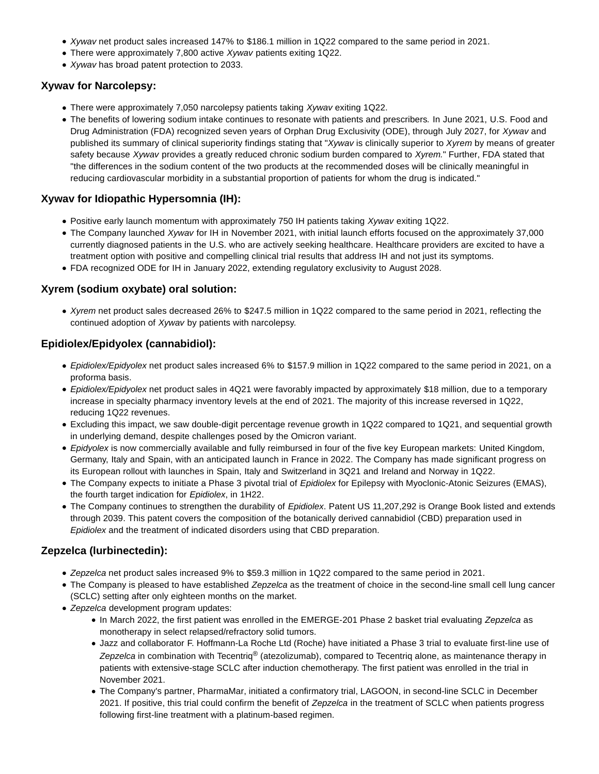- Xywav net product sales increased 147% to \$186.1 million in 1Q22 compared to the same period in 2021.
- There were approximately 7,800 active Xywav patients exiting 1Q22.
- Xywav has broad patent protection to 2033.

## **Xywav for Narcolepsy:**

- There were approximately 7,050 narcolepsy patients taking Xywav exiting 1Q22.
- The benefits of lowering sodium intake continues to resonate with patients and prescribers. In June 2021, U.S. Food and Drug Administration (FDA) recognized seven years of Orphan Drug Exclusivity (ODE), through July 2027, for Xywav and published its summary of clinical superiority findings stating that "Xyway is clinically superior to Xyrem by means of greater safety because Xywav provides a greatly reduced chronic sodium burden compared to Xyrem." Further, FDA stated that "the differences in the sodium content of the two products at the recommended doses will be clinically meaningful in reducing cardiovascular morbidity in a substantial proportion of patients for whom the drug is indicated."

# **Xywav for Idiopathic Hypersomnia (IH):**

- Positive early launch momentum with approximately 750 IH patients taking Xywav exiting 1Q22.
- The Company launched Xywav for IH in November 2021, with initial launch efforts focused on the approximately 37,000 currently diagnosed patients in the U.S. who are actively seeking healthcare. Healthcare providers are excited to have a treatment option with positive and compelling clinical trial results that address IH and not just its symptoms.
- FDA recognized ODE for IH in January 2022, extending regulatory exclusivity to August 2028.

# **Xyrem (sodium oxybate) oral solution:**

Xyrem net product sales decreased 26% to \$247.5 million in 1Q22 compared to the same period in 2021, reflecting the continued adoption of Xywav by patients with narcolepsy.

# **Epidiolex/Epidyolex (cannabidiol):**

- Epidiolex/Epidyolex net product sales increased 6% to \$157.9 million in 1Q22 compared to the same period in 2021, on a proforma basis.
- Epidiolex/Epidyolex net product sales in 4Q21 were favorably impacted by approximately \$18 million, due to a temporary increase in specialty pharmacy inventory levels at the end of 2021. The majority of this increase reversed in 1Q22, reducing 1Q22 revenues.
- Excluding this impact, we saw double-digit percentage revenue growth in 1Q22 compared to 1Q21, and sequential growth in underlying demand, despite challenges posed by the Omicron variant.
- Epidyolex is now commercially available and fully reimbursed in four of the five key European markets: United Kingdom, Germany, Italy and Spain, with an anticipated launch in France in 2022. The Company has made significant progress on its European rollout with launches in Spain, Italy and Switzerland in 3Q21 and Ireland and Norway in 1Q22.
- The Company expects to initiate a Phase 3 pivotal trial of Epidiolex for Epilepsy with Myoclonic-Atonic Seizures (EMAS), the fourth target indication for Epidiolex, in 1H22.
- The Company continues to strengthen the durability of Epidiolex. Patent US 11,207,292 is Orange Book listed and extends through 2039. This patent covers the composition of the botanically derived cannabidiol (CBD) preparation used in Epidiolex and the treatment of indicated disorders using that CBD preparation.

# **Zepzelca (lurbinectedin):**

- Zepzelca net product sales increased 9% to \$59.3 million in 1Q22 compared to the same period in 2021.
- The Company is pleased to have established Zepzelca as the treatment of choice in the second-line small cell lung cancer (SCLC) setting after only eighteen months on the market.
- Zepzelca development program updates:
	- In March 2022, the first patient was enrolled in the EMERGE-201 Phase 2 basket trial evaluating Zepzelca as monotherapy in select relapsed/refractory solid tumors.
	- Jazz and collaborator F. Hoffmann-La Roche Ltd (Roche) have initiated a Phase 3 trial to evaluate first-line use of Zepzelca in combination with Tecentriq<sup>®</sup> (atezolizumab), compared to Tecentriq alone, as maintenance therapy in patients with extensive-stage SCLC after induction chemotherapy. The first patient was enrolled in the trial in November 2021.
	- The Company's partner, PharmaMar, initiated a confirmatory trial, LAGOON, in second-line SCLC in December 2021. If positive, this trial could confirm the benefit of Zepzelca in the treatment of SCLC when patients progress following first-line treatment with a platinum-based regimen.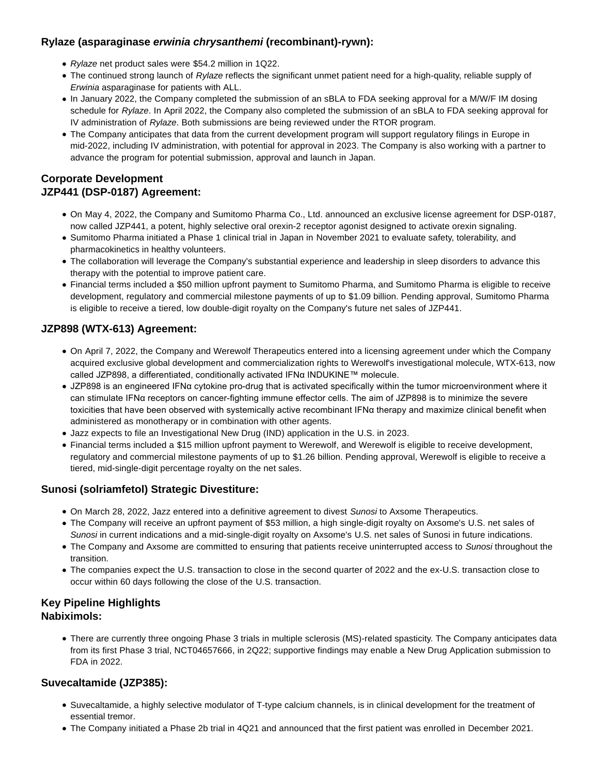# **Rylaze (asparaginase erwinia chrysanthemi (recombinant)-rywn):**

- Rylaze net product sales were \$54.2 million in 1Q22.
- The continued strong launch of Rylaze reflects the significant unmet patient need for a high-quality, reliable supply of Erwinia asparaginase for patients with ALL.
- In January 2022, the Company completed the submission of an sBLA to FDA seeking approval for a M/W/F IM dosing schedule for Rylaze. In April 2022, the Company also completed the submission of an sBLA to FDA seeking approval for IV administration of Rylaze. Both submissions are being reviewed under the RTOR program.
- The Company anticipates that data from the current development program will support regulatory filings in Europe in mid-2022, including IV administration, with potential for approval in 2023. The Company is also working with a partner to advance the program for potential submission, approval and launch in Japan.

# **Corporate Development JZP441 (DSP-0187) Agreement:**

- On May 4, 2022, the Company and Sumitomo Pharma Co., Ltd. announced an exclusive license agreement for DSP-0187, now called JZP441, a potent, highly selective oral orexin-2 receptor agonist designed to activate orexin signaling.
- Sumitomo Pharma initiated a Phase 1 clinical trial in Japan in November 2021 to evaluate safety, tolerability, and pharmacokinetics in healthy volunteers.
- The collaboration will leverage the Company's substantial experience and leadership in sleep disorders to advance this therapy with the potential to improve patient care.
- Financial terms included a \$50 million upfront payment to Sumitomo Pharma, and Sumitomo Pharma is eligible to receive development, regulatory and commercial milestone payments of up to \$1.09 billion. Pending approval, Sumitomo Pharma is eligible to receive a tiered, low double-digit royalty on the Company's future net sales of JZP441.

# **JZP898 (WTX-613) Agreement:**

- On April 7, 2022, the Company and Werewolf Therapeutics entered into a licensing agreement under which the Company acquired exclusive global development and commercialization rights to Werewolf's investigational molecule, WTX-613, now called JZP898, a differentiated, conditionally activated IFNα INDUKINE™ molecule.
- JZP898 is an engineered IFNα cytokine pro-drug that is activated specifically within the tumor microenvironment where it can stimulate IFNα receptors on cancer-fighting immune effector cells. The aim of JZP898 is to minimize the severe toxicities that have been observed with systemically active recombinant IFNα therapy and maximize clinical benefit when administered as monotherapy or in combination with other agents.
- Jazz expects to file an Investigational New Drug (IND) application in the U.S. in 2023.
- Financial terms included a \$15 million upfront payment to Werewolf, and Werewolf is eligible to receive development, regulatory and commercial milestone payments of up to \$1.26 billion. Pending approval, Werewolf is eligible to receive a tiered, mid-single-digit percentage royalty on the net sales.

# **Sunosi (solriamfetol) Strategic Divestiture:**

- On March 28, 2022, Jazz entered into a definitive agreement to divest Sunosi to Axsome Therapeutics.
- The Company will receive an upfront payment of \$53 million, a high single-digit royalty on Axsome's U.S. net sales of Sunosi in current indications and a mid-single-digit royalty on Axsome's U.S. net sales of Sunosi in future indications.
- The Company and Axsome are committed to ensuring that patients receive uninterrupted access to Sunosi throughout the transition.
- The companies expect the U.S. transaction to close in the second quarter of 2022 and the ex-U.S. transaction close to occur within 60 days following the close of the U.S. transaction.

# **Key Pipeline Highlights Nabiximols:**

There are currently three ongoing Phase 3 trials in multiple sclerosis (MS)-related spasticity. The Company anticipates data from its first Phase 3 trial, NCT04657666, in 2Q22; supportive findings may enable a New Drug Application submission to FDA in 2022.

# **Suvecaltamide (JZP385):**

- Suvecaltamide, a highly selective modulator of T-type calcium channels, is in clinical development for the treatment of essential tremor.
- The Company initiated a Phase 2b trial in 4Q21 and announced that the first patient was enrolled in December 2021.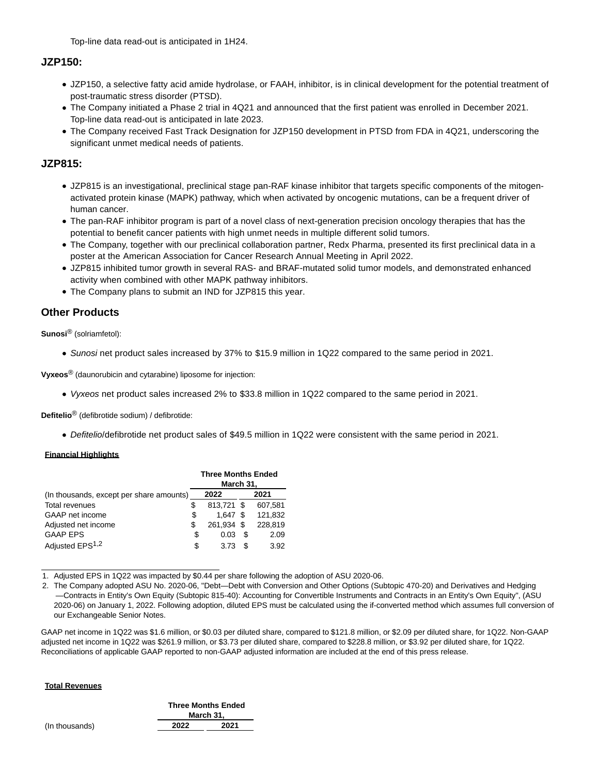Top-line data read-out is anticipated in 1H24.

## **JZP150:**

- JZP150, a selective fatty acid amide hydrolase, or FAAH, inhibitor, is in clinical development for the potential treatment of post-traumatic stress disorder (PTSD).
- The Company initiated a Phase 2 trial in 4Q21 and announced that the first patient was enrolled in December 2021. Top-line data read-out is anticipated in late 2023.
- The Company received Fast Track Designation for JZP150 development in PTSD from FDA in 4Q21, underscoring the significant unmet medical needs of patients.

## **JZP815:**

- JZP815 is an investigational, preclinical stage pan-RAF kinase inhibitor that targets specific components of the mitogenactivated protein kinase (MAPK) pathway, which when activated by oncogenic mutations, can be a frequent driver of human cancer.
- The pan-RAF inhibitor program is part of a novel class of next-generation precision oncology therapies that has the potential to benefit cancer patients with high unmet needs in multiple different solid tumors.
- The Company, together with our preclinical collaboration partner, Redx Pharma, presented its first preclinical data in a poster at the American Association for Cancer Research Annual Meeting in April 2022.
- JZP815 inhibited tumor growth in several RAS- and BRAF-mutated solid tumor models, and demonstrated enhanced activity when combined with other MAPK pathway inhibitors.
- The Company plans to submit an IND for JZP815 this year.

# **Other Products**

**Sunosi**® (solriamfetol):

Sunosi net product sales increased by 37% to \$15.9 million in 1Q22 compared to the same period in 2021.

**Vyxeos**® (daunorubicin and cytarabine) liposome for injection:

Vyxeos net product sales increased 2% to \$33.8 million in 1Q22 compared to the same period in 2021.

**Defitelio**® (defibrotide sodium) / defibrotide:

Defitelio/defibrotide net product sales of \$49.5 million in 1Q22 were consistent with the same period in 2021.

#### **Financial Highlights**

|                                          | <b>Three Months Ended</b><br>March 31, |            |    |         |
|------------------------------------------|----------------------------------------|------------|----|---------|
| (In thousands, except per share amounts) | 2022<br>2021                           |            |    |         |
| Total revenues                           | S                                      | 813.721 \$ |    | 607,581 |
| GAAP net income                          | \$                                     | 1.647      |    | 121,832 |
| Adjusted net income                      | \$                                     | 261.934 \$ |    | 228.819 |
| <b>GAAP EPS</b>                          | S                                      | 0.03       | \$ | 2.09    |
| Adjusted EPS <sup>1,2</sup>              | S                                      | 3.73       | S  | 3.92    |

1. Adjusted EPS in 1Q22 was impacted by \$0.44 per share following the adoption of ASU 2020-06.

2. The Company adopted ASU No. 2020-06, "Debt—Debt with Conversion and Other Options (Subtopic 470-20) and Derivatives and Hedging —Contracts in Entity's Own Equity (Subtopic 815-40): Accounting for Convertible Instruments and Contracts in an Entity's Own Equity", (ASU 2020-06) on January 1, 2022. Following adoption, diluted EPS must be calculated using the if-converted method which assumes full conversion of our Exchangeable Senior Notes.

GAAP net income in 1Q22 was \$1.6 million, or \$0.03 per diluted share, compared to \$121.8 million, or \$2.09 per diluted share, for 1Q22. Non-GAAP adjusted net income in 1Q22 was \$261.9 million, or \$3.73 per diluted share, compared to \$228.8 million, or \$3.92 per diluted share, for 1Q22. Reconciliations of applicable GAAP reported to non-GAAP adjusted information are included at the end of this press release.

#### **Total Revenues**

|      | <b>Three Months Ended</b><br>March 31, |
|------|----------------------------------------|
| 2022 | 2021                                   |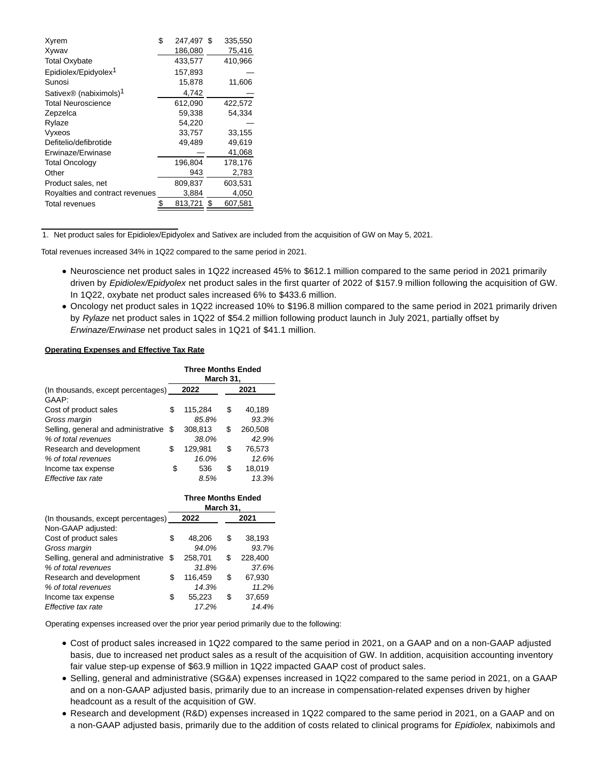| Xyrem                              | \$<br>247,497 \$ |      | 335,550 |
|------------------------------------|------------------|------|---------|
| Xywav                              | 186,080          |      | 75,416  |
| <b>Total Oxybate</b>               | 433,577          |      | 410,966 |
| Epidiolex/Epidyolex <sup>1</sup>   | 157,893          |      |         |
| Sunosi                             | 15.878           |      | 11,606  |
| Sativex® (nabiximols) <sup>1</sup> | 4,742            |      |         |
| <b>Total Neuroscience</b>          | 612,090          |      | 422,572 |
| Zepzelca                           | 59,338           |      | 54,334  |
| Rylaze                             | 54,220           |      |         |
| Vyxeos                             | 33,757           |      | 33,155  |
| Defitelio/defibrotide              | 49,489           |      | 49,619  |
| Erwinaze/Erwinase                  |                  |      | 41,068  |
| <b>Total Oncology</b>              | 196,804          |      | 178,176 |
| Other                              | 943              |      | 2,783   |
| Product sales, net                 | 809,837          |      | 603,531 |
| Royalties and contract revenues    | 3,884            |      | 4,050   |
| <b>Total revenues</b>              | 813,721          | - \$ | 607,581 |

1. Net product sales for Epidiolex/Epidyolex and Sativex are included from the acquisition of GW on May 5, 2021.

Total revenues increased 34% in 1Q22 compared to the same period in 2021.

- Neuroscience net product sales in 1Q22 increased 45% to \$612.1 million compared to the same period in 2021 primarily driven by Epidiolex/Epidyolex net product sales in the first quarter of 2022 of \$157.9 million following the acquisition of GW. In 1Q22, oxybate net product sales increased 6% to \$433.6 million.
- Oncology net product sales in 1Q22 increased 10% to \$196.8 million compared to the same period in 2021 primarily driven by Rylaze net product sales in 1Q22 of \$54.2 million following product launch in July 2021, partially offset by Erwinaze/Erwinase net product sales in 1Q21 of \$41.1 million.

#### **Operating Expenses and Effective Tax Rate**

|                                        | <b>Three Months Ended</b><br>March 31, |         |    |         |
|----------------------------------------|----------------------------------------|---------|----|---------|
| (In thousands, except percentages)     |                                        | 2022    |    | 2021    |
| GAAP:                                  |                                        |         |    |         |
| Cost of product sales                  | S                                      | 115,284 | \$ | 40,189  |
| Gross margin                           |                                        | 85.8%   |    | 93.3%   |
| Selling, general and administrative \$ |                                        | 308,813 | \$ | 260,508 |
| % of total revenues                    |                                        | 38.0%   |    | 42.9%   |
| Research and development               | \$                                     | 129,981 | \$ | 76,573  |
| % of total revenues                    |                                        | 16.0%   |    | 12.6%   |
| Income tax expense                     | \$                                     | 536     | \$ | 18,019  |
| Effective tax rate                     |                                        | 8.5%    |    | 13.3%   |

|                                        |   |         |    | <b>Three Months Ended</b><br>March 31, |  |  |  |
|----------------------------------------|---|---------|----|----------------------------------------|--|--|--|
| (In thousands, except percentages)     |   | 2022    |    | 2021                                   |  |  |  |
| Non-GAAP adjusted:                     |   |         |    |                                        |  |  |  |
| Cost of product sales                  | S | 48.206  | S  | 38,193                                 |  |  |  |
| Gross margin                           |   | 94.0%   |    | 93.7%                                  |  |  |  |
| Selling, general and administrative \$ |   | 258,701 | S  | 228,400                                |  |  |  |
| % of total revenues                    |   | 31.8%   |    | 37.6%                                  |  |  |  |
| Research and development               | S | 116,459 | S  | 67,930                                 |  |  |  |
| % of total revenues                    |   | 14.3%   |    | 11.2%                                  |  |  |  |
| Income tax expense                     | S | 55,223  | \$ | 37,659                                 |  |  |  |
| Effective tax rate                     |   | 17.2%   |    | 14.4%                                  |  |  |  |

Operating expenses increased over the prior year period primarily due to the following:

- Cost of product sales increased in 1Q22 compared to the same period in 2021, on a GAAP and on a non-GAAP adjusted basis, due to increased net product sales as a result of the acquisition of GW. In addition, acquisition accounting inventory fair value step-up expense of \$63.9 million in 1Q22 impacted GAAP cost of product sales.
- Selling, general and administrative (SG&A) expenses increased in 1Q22 compared to the same period in 2021, on a GAAP and on a non-GAAP adjusted basis, primarily due to an increase in compensation-related expenses driven by higher headcount as a result of the acquisition of GW.
- Research and development (R&D) expenses increased in 1Q22 compared to the same period in 2021, on a GAAP and on a non-GAAP adjusted basis, primarily due to the addition of costs related to clinical programs for Epidiolex, nabiximols and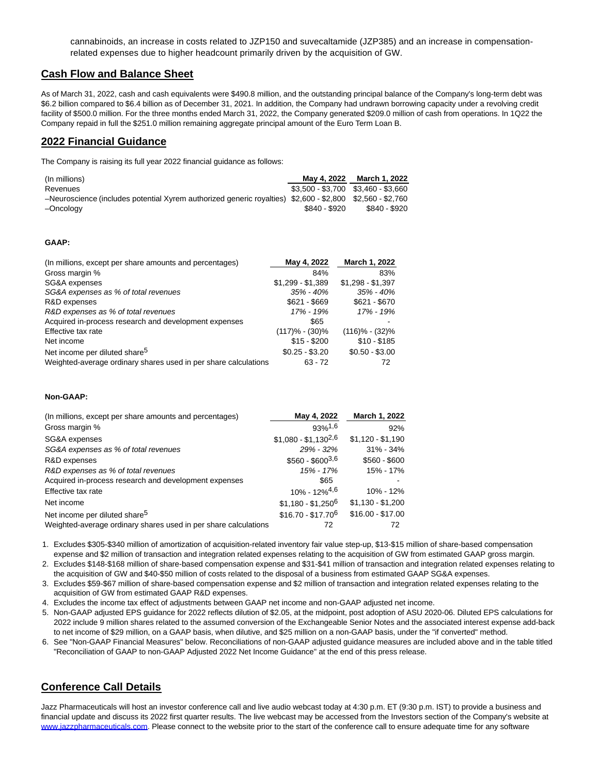cannabinoids, an increase in costs related to JZP150 and suvecaltamide (JZP385) and an increase in compensationrelated expenses due to higher headcount primarily driven by the acquisition of GW.

## **Cash Flow and Balance Sheet**

As of March 31, 2022, cash and cash equivalents were \$490.8 million, and the outstanding principal balance of the Company's long-term debt was \$6.2 billion compared to \$6.4 billion as of December 31, 2021. In addition, the Company had undrawn borrowing capacity under a revolving credit facility of \$500.0 million. For the three months ended March 31, 2022, the Company generated \$209.0 million of cash from operations. In 1Q22 the Company repaid in full the \$251.0 million remaining aggregate principal amount of the Euro Term Loan B.

### **2022 Financial Guidance**

The Company is raising its full year 2022 financial guidance as follows:

| (In millions)                                                                                             |               | May 4, 2022 March 1, 2022           |
|-----------------------------------------------------------------------------------------------------------|---------------|-------------------------------------|
| Revenues                                                                                                  |               | $$3.500 - $3.700$ $$3.460 - $3.660$ |
| -Neuroscience (includes potential Xyrem authorized generic royalties) \$2,600 - \$2,800 \$2,560 - \$2,760 |               |                                     |
| –Oncoloav                                                                                                 | \$840 - \$920 | \$840 - \$920                       |

#### **GAAP:**

| (In millions, except per share amounts and percentages)         | May 4, 2022        | March 1, 2022     |
|-----------------------------------------------------------------|--------------------|-------------------|
| Gross margin %                                                  | 84%                | 83%               |
| SG&A expenses                                                   | $$1,299 - $1,389$  | $$1,298 - $1,397$ |
| SG&A expenses as % of total revenues                            | 35% - 40%          | $35\% - 40\%$     |
| R&D expenses                                                    | $$621 - $669$      | $$621 - $670$     |
| R&D expenses as % of total revenues                             | 17% - 19%          | 17% - 19%         |
| Acquired in-process research and development expenses           | \$65               |                   |
| Effective tax rate                                              | $(117)\% - (30)\%$ | $(116)% - (32)%$  |
| Net income                                                      | $$15 - $200$       | $$10 - $185$      |
| Net income per diluted share <sup>5</sup>                       | $$0.25 - $3.20$    | $$0.50 - $3.00$   |
| Weighted-average ordinary shares used in per share calculations | $63 - 72$          | 72                |

#### **Non-GAAP:**

| (In millions, except per share amounts and percentages)         | May 4, 2022                  | March 1, 2022     |
|-----------------------------------------------------------------|------------------------------|-------------------|
| Gross margin %                                                  | $93%$ <sup>1,6</sup>         | 92%               |
| SG&A expenses                                                   | $$1.080 - $1.130^{2,6}$      | $$1,120 - $1,190$ |
| SG&A expenses as % of total revenues                            | $29\% - 32\%$                | $31\% - 34\%$     |
| R&D expenses                                                    | $$560 - $600^{3,6}$          | $$560 - $600$     |
| R&D expenses as % of total revenues                             | 15% - 17%                    | 15% - 17%         |
| Acquired in-process research and development expenses           | \$65                         |                   |
| Effective tax rate                                              | $10\% - 12\%$ <sup>4,6</sup> | $10\% - 12\%$     |
| Net income                                                      | $$1,180 - $1,250^6$          | $$1,130 - $1,200$ |
| Net income per diluted share <sup>5</sup>                       | $$16.70 - $17.70^6$          | $$16.00 - $17.00$ |
| Weighted-average ordinary shares used in per share calculations | 72                           | 72                |

1. Excludes \$305-\$340 million of amortization of acquisition-related inventory fair value step-up, \$13-\$15 million of share-based compensation expense and \$2 million of transaction and integration related expenses relating to the acquisition of GW from estimated GAAP gross margin.

2. Excludes \$148-\$168 million of share-based compensation expense and \$31-\$41 million of transaction and integration related expenses relating to the acquisition of GW and \$40-\$50 million of costs related to the disposal of a business from estimated GAAP SG&A expenses.

3. Excludes \$59-\$67 million of share-based compensation expense and \$2 million of transaction and integration related expenses relating to the acquisition of GW from estimated GAAP R&D expenses.

4. Excludes the income tax effect of adjustments between GAAP net income and non-GAAP adjusted net income.

5. Non-GAAP adjusted EPS guidance for 2022 reflects dilution of \$2.05, at the midpoint, post adoption of ASU 2020-06. Diluted EPS calculations for 2022 include 9 million shares related to the assumed conversion of the Exchangeable Senior Notes and the associated interest expense add-back to net income of \$29 million, on a GAAP basis, when dilutive, and \$25 million on a non-GAAP basis, under the "if converted" method.

6. See "Non-GAAP Financial Measures" below. Reconciliations of non-GAAP adjusted guidance measures are included above and in the table titled "Reconciliation of GAAP to non-GAAP Adjusted 2022 Net Income Guidance" at the end of this press release.

## **Conference Call Details**

Jazz Pharmaceuticals will host an investor conference call and live audio webcast today at 4:30 p.m. ET (9:30 p.m. IST) to provide a business and financial update and discuss its 2022 first quarter results. The live webcast may be accessed from the Investors section of the Company's website at [www.jazzpharmaceuticals.com.](https://c212.net/c/link/?t=0&l=en&o=3523485-1&h=3436739679&u=https%3A%2F%2Fwww.jazzpharma.com%2F&a=www.jazzpharmaceuticals.com) Please connect to the website prior to the start of the conference call to ensure adequate time for any software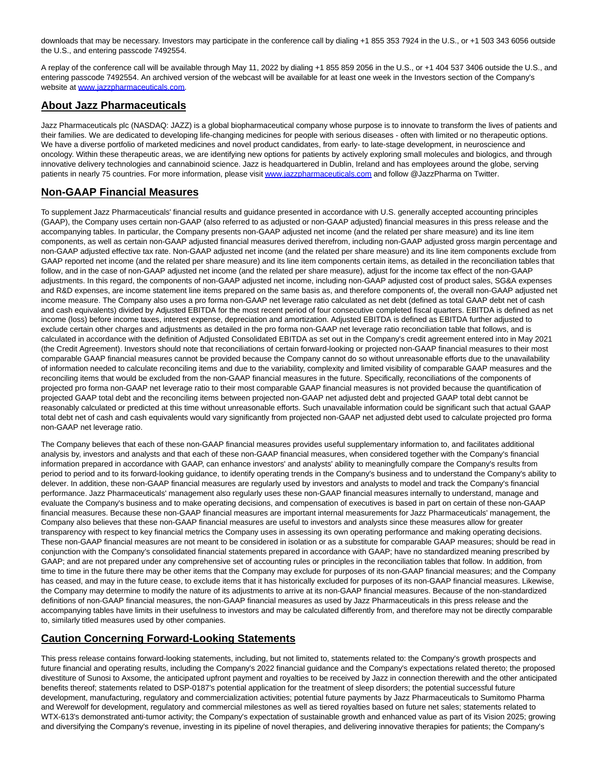downloads that may be necessary. Investors may participate in the conference call by dialing +1 855 353 7924 in the U.S., or +1 503 343 6056 outside the U.S., and entering passcode 7492554.

A replay of the conference call will be available through May 11, 2022 by dialing +1 855 859 2056 in the U.S., or +1 404 537 3406 outside the U.S., and entering passcode 7492554. An archived version of the webcast will be available for at least one week in the Investors section of the Company's website at [www.jazzpharmaceuticals.com.](https://c212.net/c/link/?t=0&l=en&o=3523485-1&h=3788442933&u=http%3A%2F%2Fwww.jazzpharmaceuticals.com%2F&a=www.jazzpharmaceuticals.com)

## **About Jazz Pharmaceuticals**

Jazz Pharmaceuticals plc (NASDAQ: JAZZ) is a global biopharmaceutical company whose purpose is to innovate to transform the lives of patients and their families. We are dedicated to developing life-changing medicines for people with serious diseases - often with limited or no therapeutic options. We have a diverse portfolio of marketed medicines and novel product candidates, from early- to late-stage development, in neuroscience and oncology. Within these therapeutic areas, we are identifying new options for patients by actively exploring small molecules and biologics, and through innovative delivery technologies and cannabinoid science. Jazz is headquartered in Dublin, Ireland and has employees around the globe, serving patients in nearly 75 countries. For more information, please visi[t www.jazzpharmaceuticals.com a](https://c212.net/c/link/?t=0&l=en&o=3523485-1&h=3436739679&u=https%3A%2F%2Fwww.jazzpharma.com%2F&a=www.jazzpharmaceuticals.com)nd follow @JazzPharma on Twitter.

## **Non-GAAP Financial Measures**

To supplement Jazz Pharmaceuticals' financial results and guidance presented in accordance with U.S. generally accepted accounting principles (GAAP), the Company uses certain non-GAAP (also referred to as adjusted or non-GAAP adjusted) financial measures in this press release and the accompanying tables. In particular, the Company presents non-GAAP adjusted net income (and the related per share measure) and its line item components, as well as certain non-GAAP adjusted financial measures derived therefrom, including non-GAAP adjusted gross margin percentage and non-GAAP adjusted effective tax rate. Non-GAAP adjusted net income (and the related per share measure) and its line item components exclude from GAAP reported net income (and the related per share measure) and its line item components certain items, as detailed in the reconciliation tables that follow, and in the case of non-GAAP adjusted net income (and the related per share measure), adjust for the income tax effect of the non-GAAP adjustments. In this regard, the components of non-GAAP adjusted net income, including non-GAAP adjusted cost of product sales, SG&A expenses and R&D expenses, are income statement line items prepared on the same basis as, and therefore components of, the overall non-GAAP adjusted net income measure. The Company also uses a pro forma non-GAAP net leverage ratio calculated as net debt (defined as total GAAP debt net of cash and cash equivalents) divided by Adjusted EBITDA for the most recent period of four consecutive completed fiscal quarters. EBITDA is defined as net income (loss) before income taxes, interest expense, depreciation and amortization. Adjusted EBITDA is defined as EBITDA further adjusted to exclude certain other charges and adjustments as detailed in the pro forma non-GAAP net leverage ratio reconciliation table that follows, and is calculated in accordance with the definition of Adjusted Consolidated EBITDA as set out in the Company's credit agreement entered into in May 2021 (the Credit Agreement). Investors should note that reconciliations of certain forward-looking or projected non-GAAP financial measures to their most comparable GAAP financial measures cannot be provided because the Company cannot do so without unreasonable efforts due to the unavailability of information needed to calculate reconciling items and due to the variability, complexity and limited visibility of comparable GAAP measures and the reconciling items that would be excluded from the non-GAAP financial measures in the future. Specifically, reconciliations of the components of projected pro forma non-GAAP net leverage ratio to their most comparable GAAP financial measures is not provided because the quantification of projected GAAP total debt and the reconciling items between projected non-GAAP net adjusted debt and projected GAAP total debt cannot be reasonably calculated or predicted at this time without unreasonable efforts. Such unavailable information could be significant such that actual GAAP total debt net of cash and cash equivalents would vary significantly from projected non-GAAP net adjusted debt used to calculate projected pro forma non-GAAP net leverage ratio.

The Company believes that each of these non-GAAP financial measures provides useful supplementary information to, and facilitates additional analysis by, investors and analysts and that each of these non-GAAP financial measures, when considered together with the Company's financial information prepared in accordance with GAAP, can enhance investors' and analysts' ability to meaningfully compare the Company's results from period to period and to its forward-looking guidance, to identify operating trends in the Company's business and to understand the Company's ability to delever. In addition, these non-GAAP financial measures are regularly used by investors and analysts to model and track the Company's financial performance. Jazz Pharmaceuticals' management also regularly uses these non-GAAP financial measures internally to understand, manage and evaluate the Company's business and to make operating decisions, and compensation of executives is based in part on certain of these non-GAAP financial measures. Because these non-GAAP financial measures are important internal measurements for Jazz Pharmaceuticals' management, the Company also believes that these non-GAAP financial measures are useful to investors and analysts since these measures allow for greater transparency with respect to key financial metrics the Company uses in assessing its own operating performance and making operating decisions. These non-GAAP financial measures are not meant to be considered in isolation or as a substitute for comparable GAAP measures; should be read in conjunction with the Company's consolidated financial statements prepared in accordance with GAAP; have no standardized meaning prescribed by GAAP; and are not prepared under any comprehensive set of accounting rules or principles in the reconciliation tables that follow. In addition, from time to time in the future there may be other items that the Company may exclude for purposes of its non-GAAP financial measures; and the Company has ceased, and may in the future cease, to exclude items that it has historically excluded for purposes of its non-GAAP financial measures. Likewise, the Company may determine to modify the nature of its adjustments to arrive at its non-GAAP financial measures. Because of the non-standardized definitions of non-GAAP financial measures, the non-GAAP financial measures as used by Jazz Pharmaceuticals in this press release and the accompanying tables have limits in their usefulness to investors and may be calculated differently from, and therefore may not be directly comparable to, similarly titled measures used by other companies.

## **Caution Concerning Forward-Looking Statements**

This press release contains forward-looking statements, including, but not limited to, statements related to: the Company's growth prospects and future financial and operating results, including the Company's 2022 financial guidance and the Company's expectations related thereto; the proposed divestiture of Sunosi to Axsome, the anticipated upfront payment and royalties to be received by Jazz in connection therewith and the other anticipated benefits thereof; statements related to DSP-0187's potential application for the treatment of sleep disorders; the potential successful future development, manufacturing, regulatory and commercialization activities; potential future payments by Jazz Pharmaceuticals to Sumitomo Pharma and Werewolf for development, regulatory and commercial milestones as well as tiered royalties based on future net sales; statements related to WTX-613's demonstrated anti-tumor activity; the Company's expectation of sustainable growth and enhanced value as part of its Vision 2025; growing and diversifying the Company's revenue, investing in its pipeline of novel therapies, and delivering innovative therapies for patients; the Company's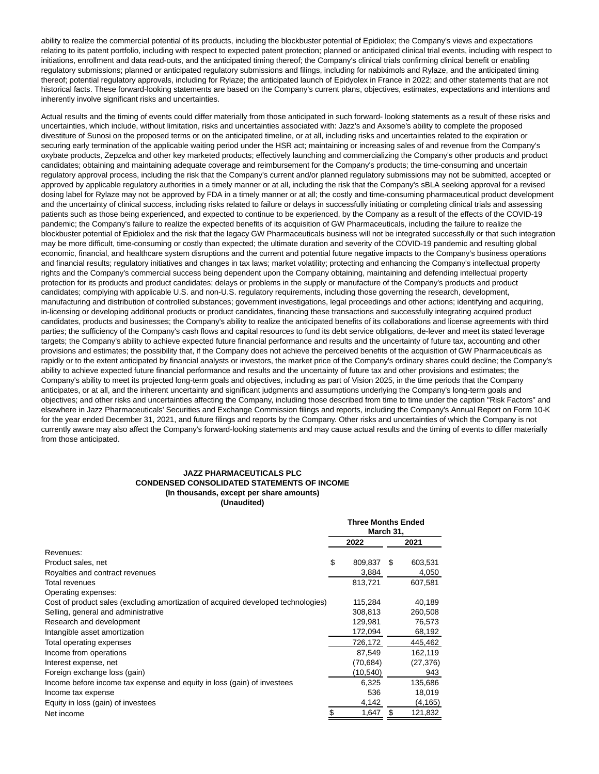ability to realize the commercial potential of its products, including the blockbuster potential of Epidiolex; the Company's views and expectations relating to its patent portfolio, including with respect to expected patent protection; planned or anticipated clinical trial events, including with respect to initiations, enrollment and data read-outs, and the anticipated timing thereof; the Company's clinical trials confirming clinical benefit or enabling regulatory submissions; planned or anticipated regulatory submissions and filings, including for nabiximols and Rylaze, and the anticipated timing thereof; potential regulatory approvals, including for Rylaze; the anticipated launch of Epidyolex in France in 2022; and other statements that are not historical facts. These forward-looking statements are based on the Company's current plans, objectives, estimates, expectations and intentions and inherently involve significant risks and uncertainties.

Actual results and the timing of events could differ materially from those anticipated in such forward- looking statements as a result of these risks and uncertainties, which include, without limitation, risks and uncertainties associated with: Jazz's and Axsome's ability to complete the proposed divestiture of Sunosi on the proposed terms or on the anticipated timeline, or at all, including risks and uncertainties related to the expiration or securing early termination of the applicable waiting period under the HSR act; maintaining or increasing sales of and revenue from the Company's oxybate products, Zepzelca and other key marketed products; effectively launching and commercializing the Company's other products and product candidates; obtaining and maintaining adequate coverage and reimbursement for the Company's products; the time-consuming and uncertain regulatory approval process, including the risk that the Company's current and/or planned regulatory submissions may not be submitted, accepted or approved by applicable regulatory authorities in a timely manner or at all, including the risk that the Company's sBLA seeking approval for a revised dosing label for Rylaze may not be approved by FDA in a timely manner or at all; the costly and time-consuming pharmaceutical product development and the uncertainty of clinical success, including risks related to failure or delays in successfully initiating or completing clinical trials and assessing patients such as those being experienced, and expected to continue to be experienced, by the Company as a result of the effects of the COVID-19 pandemic; the Company's failure to realize the expected benefits of its acquisition of GW Pharmaceuticals, including the failure to realize the blockbuster potential of Epidiolex and the risk that the legacy GW Pharmaceuticals business will not be integrated successfully or that such integration may be more difficult, time-consuming or costly than expected; the ultimate duration and severity of the COVID-19 pandemic and resulting global economic, financial, and healthcare system disruptions and the current and potential future negative impacts to the Company's business operations and financial results; regulatory initiatives and changes in tax laws; market volatility; protecting and enhancing the Company's intellectual property rights and the Company's commercial success being dependent upon the Company obtaining, maintaining and defending intellectual property protection for its products and product candidates; delays or problems in the supply or manufacture of the Company's products and product candidates; complying with applicable U.S. and non-U.S. regulatory requirements, including those governing the research, development, manufacturing and distribution of controlled substances; government investigations, legal proceedings and other actions; identifying and acquiring, in-licensing or developing additional products or product candidates, financing these transactions and successfully integrating acquired product candidates, products and businesses; the Company's ability to realize the anticipated benefits of its collaborations and license agreements with third parties; the sufficiency of the Company's cash flows and capital resources to fund its debt service obligations, de-lever and meet its stated leverage targets; the Company's ability to achieve expected future financial performance and results and the uncertainty of future tax, accounting and other provisions and estimates; the possibility that, if the Company does not achieve the perceived benefits of the acquisition of GW Pharmaceuticals as rapidly or to the extent anticipated by financial analysts or investors, the market price of the Company's ordinary shares could decline; the Company's ability to achieve expected future financial performance and results and the uncertainty of future tax and other provisions and estimates; the Company's ability to meet its projected long-term goals and objectives, including as part of Vision 2025, in the time periods that the Company anticipates, or at all, and the inherent uncertainty and significant judgments and assumptions underlying the Company's long-term goals and objectives; and other risks and uncertainties affecting the Company, including those described from time to time under the caption "Risk Factors" and elsewhere in Jazz Pharmaceuticals' Securities and Exchange Commission filings and reports, including the Company's Annual Report on Form 10-K for the year ended December 31, 2021, and future filings and reports by the Company. Other risks and uncertainties of which the Company is not currently aware may also affect the Company's forward-looking statements and may cause actual results and the timing of events to differ materially from those anticipated.

#### **JAZZ PHARMACEUTICALS PLC CONDENSED CONSOLIDATED STATEMENTS OF INCOME (In thousands, except per share amounts) (Unaudited)**

|                                                                                   | <b>Three Months Ended</b><br>March 31, |           |     |           |
|-----------------------------------------------------------------------------------|----------------------------------------|-----------|-----|-----------|
|                                                                                   | 2022                                   |           |     | 2021      |
| Revenues:                                                                         |                                        |           |     |           |
| Product sales, net                                                                | \$                                     | 809,837   | \$. | 603,531   |
| Royalties and contract revenues                                                   |                                        | 3,884     |     | 4,050     |
| Total revenues                                                                    |                                        | 813,721   |     | 607,581   |
| Operating expenses:                                                               |                                        |           |     |           |
| Cost of product sales (excluding amortization of acquired developed technologies) |                                        | 115,284   |     | 40,189    |
| Selling, general and administrative                                               |                                        | 308,813   |     | 260,508   |
| Research and development                                                          |                                        | 129.981   |     | 76,573    |
| Intangible asset amortization                                                     |                                        | 172,094   |     | 68,192    |
| Total operating expenses                                                          |                                        | 726,172   |     | 445,462   |
| Income from operations                                                            |                                        | 87,549    |     | 162,119   |
| Interest expense, net                                                             |                                        | (70,684)  |     | (27, 376) |
| Foreign exchange loss (gain)                                                      |                                        | (10, 540) |     | 943       |
| Income before income tax expense and equity in loss (gain) of investees           |                                        | 6,325     |     | 135,686   |
| Income tax expense                                                                |                                        | 536       |     | 18,019    |
| Equity in loss (gain) of investees                                                |                                        | 4,142     |     | (4, 165)  |
| Net income                                                                        | S                                      | 1.647     | \$  | 121,832   |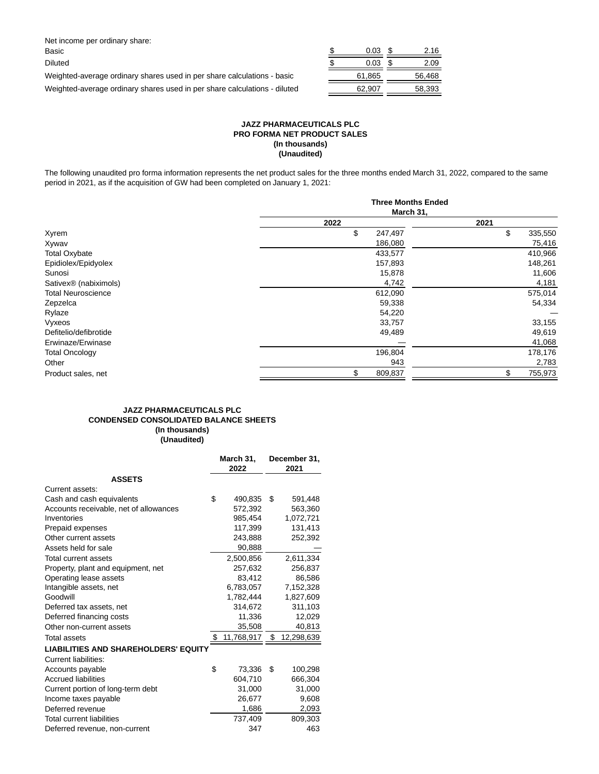| Net income per ordinary share:                                            |        |        |
|---------------------------------------------------------------------------|--------|--------|
| Basic                                                                     | 0.03   | 2.16   |
| <b>Diluted</b>                                                            | 0.03   | 2.09   |
| Weighted-average ordinary shares used in per share calculations - basic   | 61.865 | 56.468 |
| Weighted-average ordinary shares used in per share calculations - diluted | 62.907 | 58.393 |
|                                                                           |        |        |

#### **JAZZ PHARMACEUTICALS PLC PRO FORMA NET PRODUCT SALES (In thousands) (Unaudited)**

The following unaudited pro forma information represents the net product sales for the three months ended March 31, 2022, compared to the same period in 2021, as if the acquisition of GW had been completed on January 1, 2021:

|                                   | <b>Three Months Ended</b> |               |  |  |
|-----------------------------------|---------------------------|---------------|--|--|
|                                   | March 31,                 |               |  |  |
|                                   | 2022                      | 2021          |  |  |
| Xyrem                             | \$<br>247,497             | \$<br>335,550 |  |  |
| Xywav                             | 186,080                   | 75,416        |  |  |
| <b>Total Oxybate</b>              | 433,577                   | 410,966       |  |  |
| Epidiolex/Epidyolex               | 157,893                   | 148,261       |  |  |
| Sunosi                            | 15,878                    | 11,606        |  |  |
| Sativex <sup>®</sup> (nabiximols) | 4,742                     | 4,181         |  |  |
| <b>Total Neuroscience</b>         | 612,090                   | 575,014       |  |  |
| Zepzelca                          | 59,338                    | 54,334        |  |  |
| Rylaze                            | 54,220                    |               |  |  |
| Vyxeos                            | 33,757                    | 33,155        |  |  |
| Defitelio/defibrotide             | 49,489                    | 49,619        |  |  |
| Erwinaze/Erwinase                 |                           | 41,068        |  |  |
| <b>Total Oncology</b>             | 196,804                   | 178,176       |  |  |
| Other                             | 943                       | 2,783         |  |  |
| Product sales, net                | \$.<br>809,837            | \$<br>755,973 |  |  |

#### **JAZZ PHARMACEUTICALS PLC CONDENSED CONSOLIDATED BALANCE SHEETS (In thousands) (Unaudited)**

|                                             | March 31,<br>2022 |            |        | December 31,<br>2021 |
|---------------------------------------------|-------------------|------------|--------|----------------------|
| <b>ASSETS</b>                               |                   |            |        |                      |
| Current assets:                             |                   |            |        |                      |
| Cash and cash equivalents                   | \$                | 490,835    | \$     | 591,448              |
| Accounts receivable, net of allowances      |                   | 572,392    |        | 563,360              |
| Inventories                                 |                   | 985,454    |        | 1,072,721            |
| Prepaid expenses                            |                   | 117,399    |        | 131,413              |
| Other current assets                        |                   | 243,888    |        | 252,392              |
| Assets held for sale                        |                   | 90,888     |        |                      |
| Total current assets                        |                   | 2,500,856  |        | 2,611,334            |
| Property, plant and equipment, net          |                   | 257,632    |        | 256,837              |
| Operating lease assets                      |                   | 83.412     |        | 86,586               |
| Intangible assets, net                      |                   | 6,783,057  |        | 7,152,328            |
| Goodwill                                    |                   | 1,782,444  |        | 1,827,609            |
| Deferred tax assets, net                    |                   | 314,672    |        | 311,103              |
| Deferred financing costs                    |                   | 11,336     | 12,029 |                      |
| Other non-current assets                    |                   | 35,508     |        | 40,813               |
| Total assets                                |                   | 11,768,917 | \$     | 12,298,639           |
| <b>LIABILITIES AND SHAREHOLDERS' EQUITY</b> |                   |            |        |                      |
| <b>Current liabilities:</b>                 |                   |            |        |                      |
| Accounts payable                            | \$                | 73,336     | S      | 100,298              |
| <b>Accrued liabilities</b>                  |                   | 604.710    |        | 666,304              |
| Current portion of long-term debt           |                   | 31,000     |        | 31,000               |
| Income taxes payable                        |                   | 26,677     |        | 9,608                |
| Deferred revenue                            |                   | 1,686      |        | 2,093                |
| <b>Total current liabilities</b>            |                   | 737,409    |        | 809,303              |
| Deferred revenue, non-current               |                   | 347        |        | 463                  |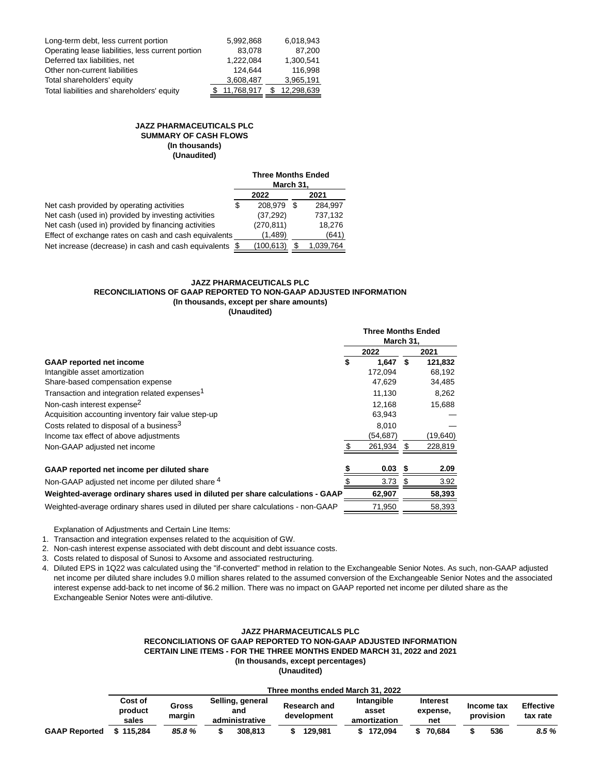| Long-term debt, less current portion              | 5.992.868  | 6.018.943  |
|---------------------------------------------------|------------|------------|
| Operating lease liabilities, less current portion | 83.078     | 87,200     |
| Deferred tax liabilities, net                     | 1,222,084  | 1,300,541  |
| Other non-current liabilities                     | 124.644    | 116.998    |
| Total shareholders' equity                        | 3,608,487  | 3,965,191  |
| Total liabilities and shareholders' equity        | 11,768,917 | 12.298.639 |

#### **JAZZ PHARMACEUTICALS PLC SUMMARY OF CASH FLOWS (In thousands) (Unaudited)**

|                                                       |   | <b>Three Months Ended</b><br>March 31, |   |           |
|-------------------------------------------------------|---|----------------------------------------|---|-----------|
|                                                       |   | 2022                                   |   | 2021      |
| Net cash provided by operating activities             | S | 208.979                                | S | 284.997   |
| Net cash (used in) provided by investing activities   |   | (37, 292)                              |   | 737,132   |
| Net cash (used in) provided by financing activities   |   | (270, 811)                             |   | 18.276    |
| Effect of exchange rates on cash and cash equivalents |   | (1,489)                                |   | (641)     |
| Net increase (decrease) in cash and cash equivalents  |   | (100, 613)                             |   | 1,039,764 |

#### **JAZZ PHARMACEUTICALS PLC RECONCILIATIONS OF GAAP REPORTED TO NON-GAAP ADJUSTED INFORMATION (In thousands, except per share amounts) (Unaudited)**

|                                                                                    | <b>Three Months Ended</b><br>March 31, |      |          |
|------------------------------------------------------------------------------------|----------------------------------------|------|----------|
|                                                                                    | 2022                                   |      | 2021     |
| <b>GAAP</b> reported net income                                                    | \$<br>1.647                            | - \$ | 121,832  |
| Intangible asset amortization                                                      | 172.094                                |      | 68,192   |
| Share-based compensation expense                                                   | 47,629                                 |      | 34,485   |
| Transaction and integration related expenses <sup>1</sup>                          | 11,130                                 |      | 8,262    |
| Non-cash interest expense <sup>2</sup>                                             | 12.168                                 |      | 15,688   |
| Acquisition accounting inventory fair value step-up                                | 63,943                                 |      |          |
| Costs related to disposal of a business <sup>3</sup>                               | 8,010                                  |      |          |
| Income tax effect of above adjustments                                             | (54,687)                               |      | (19,640) |
| Non-GAAP adjusted net income                                                       | 261,934                                | S    | 228,819  |
| GAAP reported net income per diluted share                                         | 0.03                                   | -5   | 2.09     |
| Non-GAAP adjusted net income per diluted share 4                                   | 3.73                                   | S    | 3.92     |
| Weighted-average ordinary shares used in diluted per share calculations - GAAP     | 62,907                                 |      | 58,393   |
| Weighted-average ordinary shares used in diluted per share calculations - non-GAAP | 71.950                                 |      | 58,393   |

Explanation of Adjustments and Certain Line Items:

1. Transaction and integration expenses related to the acquisition of GW.

2. Non-cash interest expense associated with debt discount and debt issuance costs.

3. Costs related to disposal of Sunosi to Axsome and associated restructuring.

4. Diluted EPS in 1Q22 was calculated using the "if-converted" method in relation to the Exchangeable Senior Notes. As such, non-GAAP adjusted net income per diluted share includes 9.0 million shares related to the assumed conversion of the Exchangeable Senior Notes and the associated interest expense add-back to net income of \$6.2 million. There was no impact on GAAP reported net income per diluted share as the Exchangeable Senior Notes were anti-dilutive.

#### **JAZZ PHARMACEUTICALS PLC RECONCILIATIONS OF GAAP REPORTED TO NON-GAAP ADJUSTED INFORMATION CERTAIN LINE ITEMS - FOR THE THREE MONTHS ENDED MARCH 31, 2022 and 2021 (In thousands, except percentages)**

**(Unaudited)**

|                      | Three months ended March 31. 2022 |                 |  |                                           |  |                                    |  |                                     |  |                             |                         |                              |
|----------------------|-----------------------------------|-----------------|--|-------------------------------------------|--|------------------------------------|--|-------------------------------------|--|-----------------------------|-------------------------|------------------------------|
|                      | Cost of<br>product<br>sales       | Gross<br>margin |  | Selling, general<br>and<br>administrative |  | <b>Research and</b><br>development |  | Intangible<br>asset<br>amortization |  | Interest<br>expense,<br>net | Income tax<br>provision | <b>Effective</b><br>tax rate |
| <b>GAAP Reported</b> | 115.284                           | 85.8%           |  | 308.813                                   |  | 129.981                            |  | 172.094                             |  | 70.684                      | 536                     | 8.5 %                        |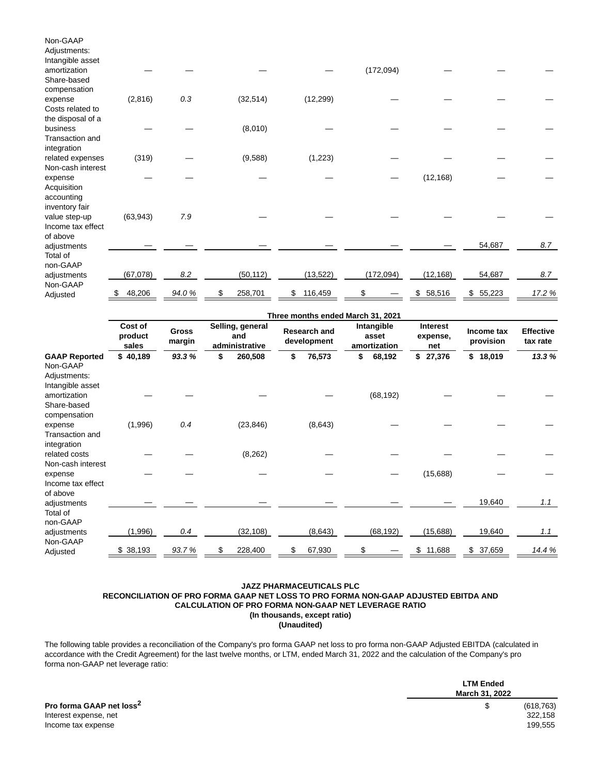| Non-GAAP<br>Adjustments:<br>Intangible asset         |           |       |           |               |            |              |              |        |
|------------------------------------------------------|-----------|-------|-----------|---------------|------------|--------------|--------------|--------|
| amortization<br>Share-based                          |           |       |           |               | (172,094)  |              |              |        |
| compensation<br>expense<br>Costs related to          | (2,816)   | 0.3   | (32, 514) | (12, 299)     |            |              |              |        |
| the disposal of a<br>business<br>Transaction and     |           |       | (8,010)   |               |            |              |              |        |
| integration<br>related expenses<br>Non-cash interest | (319)     |       | (9,588)   | (1, 223)      |            |              |              |        |
| expense<br>Acquisition<br>accounting                 |           |       |           |               |            | (12, 168)    |              |        |
| inventory fair<br>value step-up<br>Income tax effect | (63, 943) | 7.9   |           |               |            |              |              |        |
| of above<br>adjustments<br>Total of                  |           |       |           |               |            |              | 54,687       | 8.7    |
| non-GAAP<br>adjustments<br>Non-GAAP                  | (67,078)  | 8.2   | (50, 112) | (13, 522)     | (172, 094) | (12, 168)    | 54,687       | 8.7    |
| Adjusted                                             | 48,206    | 94.0% | 258,701   | 116,459<br>\$ | \$         | 58,516<br>\$ | \$<br>55,223 | 17.2 % |

|                                                                      |                             |                        |    | Three months ended March 31, 2021         |    |                                    |    |                                     |    |                                    |    |                         |                              |
|----------------------------------------------------------------------|-----------------------------|------------------------|----|-------------------------------------------|----|------------------------------------|----|-------------------------------------|----|------------------------------------|----|-------------------------|------------------------------|
|                                                                      | Cost of<br>product<br>sales | <b>Gross</b><br>margin |    | Selling, general<br>and<br>administrative |    | <b>Research and</b><br>development |    | Intangible<br>asset<br>amortization |    | <b>Interest</b><br>expense,<br>net |    | Income tax<br>provision | <b>Effective</b><br>tax rate |
| <b>GAAP Reported</b><br>Non-GAAP<br>Adjustments:<br>Intangible asset | \$40,189                    | 93.3%                  | \$ | 260,508                                   | \$ | 76,573                             | \$ | 68,192                              | \$ | 27,376                             |    | \$18,019                | 13.3%                        |
| amortization<br>Share-based<br>compensation                          |                             |                        |    |                                           |    |                                    |    | (68, 192)                           |    |                                    |    |                         |                              |
| expense<br>Transaction and<br>integration                            | (1,996)                     | 0.4                    |    | (23, 846)                                 |    | (8,643)                            |    |                                     |    |                                    |    |                         |                              |
| related costs<br>Non-cash interest                                   |                             |                        |    | (8, 262)                                  |    |                                    |    |                                     |    |                                    |    |                         |                              |
| expense<br>Income tax effect<br>of above                             |                             |                        |    |                                           |    |                                    |    |                                     |    | (15,688)                           |    |                         |                              |
| adjustments<br>Total of<br>non-GAAP                                  |                             |                        |    |                                           |    |                                    |    |                                     |    |                                    |    | 19,640                  | 1.1                          |
| adjustments<br>Non-GAAP                                              | (1,996)                     | 0.4                    |    | (32, 108)                                 |    | (8,643)                            |    | (68, 192)                           |    | (15, 688)                          |    | 19,640                  | 1.1                          |
| Adjusted                                                             | \$38,193                    | 93.7%                  | S  | 228,400                                   | \$ | 67,930                             | \$ |                                     | \$ | 11,688                             | \$ | 37,659                  | 14.4 %                       |

#### **JAZZ PHARMACEUTICALS PLC RECONCILIATION OF PRO FORMA GAAP NET LOSS TO PRO FORMA NON-GAAP ADJUSTED EBITDA AND CALCULATION OF PRO FORMA NON-GAAP NET LEVERAGE RATIO (In thousands, except ratio) (Unaudited)**

The following table provides a reconciliation of the Company's pro forma GAAP net loss to pro forma non-GAAP Adjusted EBITDA (calculated in accordance with the Credit Agreement) for the last twelve months, or LTM, ended March 31, 2022 and the calculation of the Company's pro forma non-GAAP net leverage ratio:

|                                      | <b>LTM Ended</b> |  |  |
|--------------------------------------|------------------|--|--|
|                                      | March 31, 2022   |  |  |
| Pro forma GAAP net loss <sup>2</sup> | (618, 763)       |  |  |
| Interest expense, net                | 322,158          |  |  |
| Income tax expense                   | 199.555          |  |  |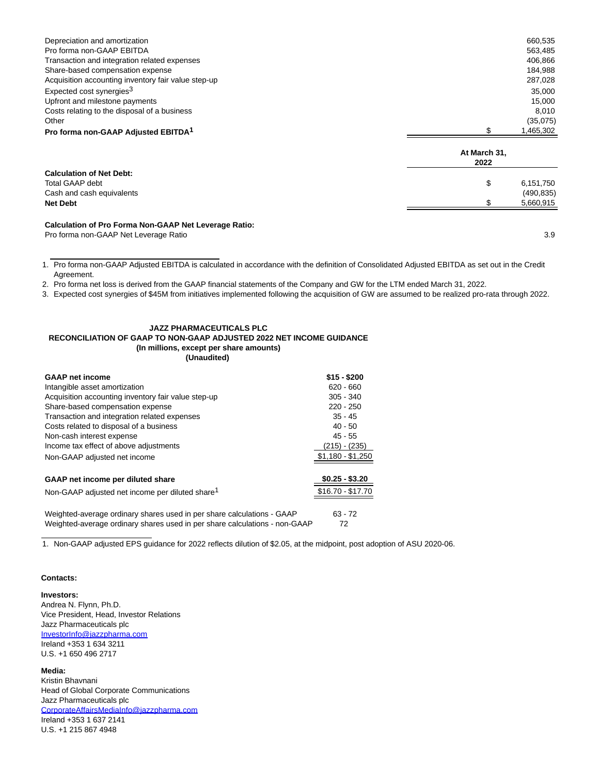| Depreciation and amortization                                |                      | 660,535    |
|--------------------------------------------------------------|----------------------|------------|
| Pro forma non-GAAP EBITDA                                    |                      | 563,485    |
| Transaction and integration related expenses                 |                      | 406,866    |
| Share-based compensation expense                             |                      | 184,988    |
| Acquisition accounting inventory fair value step-up          |                      | 287,028    |
| Expected cost synergies <sup>3</sup>                         |                      | 35,000     |
| Upfront and milestone payments                               |                      | 15,000     |
| Costs relating to the disposal of a business                 |                      | 8,010      |
| Other                                                        |                      | (35,075)   |
| Pro forma non-GAAP Adjusted EBITDA <sup>1</sup>              | \$                   | 1,465,302  |
|                                                              | At March 31,<br>2022 |            |
| <b>Calculation of Net Debt:</b>                              |                      |            |
| Total GAAP debt                                              | \$                   | 6,151,750  |
| Cash and cash equivalents                                    |                      | (490, 835) |
| <b>Net Debt</b>                                              |                      | 5,660,915  |
| <b>Calculation of Pro Forma Non-GAAP Net Leverage Ratio:</b> |                      |            |

Pro forma non-GAAP Net Leverage Ratio 3.9

1. Pro forma non-GAAP Adjusted EBITDA is calculated in accordance with the definition of Consolidated Adjusted EBITDA as set out in the Credit Agreement.

2. Pro forma net loss is derived from the GAAP financial statements of the Company and GW for the LTM ended March 31, 2022.

3. Expected cost synergies of \$45M from initiatives implemented following the acquisition of GW are assumed to be realized pro-rata through 2022.

### **JAZZ PHARMACEUTICALS PLC**

#### **RECONCILIATION OF GAAP TO NON-GAAP ADJUSTED 2022 NET INCOME GUIDANCE (In millions, except per share amounts)**

**(Unaudited)**

| <b>GAAP</b> net income                                                     | $$15 - $200$      |
|----------------------------------------------------------------------------|-------------------|
|                                                                            |                   |
| Intangible asset amortization                                              | $620 - 660$       |
| Acquisition accounting inventory fair value step-up                        | $305 - 340$       |
| Share-based compensation expense                                           | $220 - 250$       |
| Transaction and integration related expenses                               | $35 - 45$         |
| Costs related to disposal of a business                                    | $40 - 50$         |
| Non-cash interest expense                                                  | $45 - 55$         |
| Income tax effect of above adjustments                                     | (215) - (235)     |
| Non-GAAP adjusted net income                                               | $$1,180 - $1,250$ |
|                                                                            |                   |
| GAAP net income per diluted share                                          | $$0.25 - $3.20$   |
| Non-GAAP adjusted net income per diluted share <sup>1</sup>                | $$16.70 - $17.70$ |
|                                                                            |                   |
| Weighted-average ordinary shares used in per share calculations - GAAP     | $63 - 72$         |
| Weighted-average ordinary shares used in per share calculations - non-GAAP | 72                |

1. Non-GAAP adjusted EPS guidance for 2022 reflects dilution of \$2.05, at the midpoint, post adoption of ASU 2020-06.

#### **Contacts:**

**Investors:**

Andrea N. Flynn, Ph.D. Vice President, Head, Investor Relations Jazz Pharmaceuticals plc [InvestorInfo@jazzpharma.com](mailto:InvestorInfo@jazzpharma.com) Ireland +353 1 634 3211 U.S. +1 650 496 2717

**Media:**

Kristin Bhavnani Head of Global Corporate Communications Jazz Pharmaceuticals plc [CorporateAffairsMediaInfo@jazzpharma.com](mailto:CorporateAffairsMediaInfo@jazzpharma.com) Ireland +353 1 637 2141 U.S. +1 215 867 4948